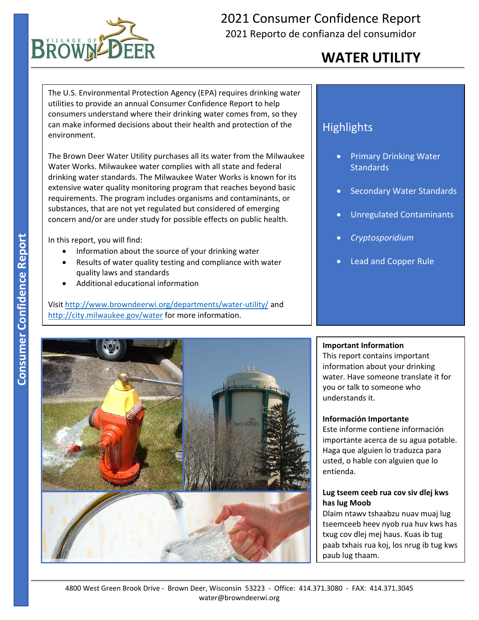

## 2021 Consumer Confidence Report 2021 Reporto de confianza del consumidor

# **WATER UTILITY**

The U.S. Environmental Protection Agency (EPA) requires drinking water utilities to provide an annual Consumer Confidence Report to help consumers understand where their drinking water comes from, so they can make informed decisions about their health and protection of the environment.

The Brown Deer Water Utility purchases all its water from the Milwaukee Water Works. Milwaukee water complies with all state and federal drinking water standards. The Milwaukee Water Works is known for its extensive water quality monitoring program that reaches beyond basic requirements. The program includes organisms and contaminants, or substances, that are not yet regulated but considered of emerging concern and/or are under study for possible effects on public health.

In this report, you will find:

- Information about the source of your drinking water
- Results of water quality testing and compliance with water quality laws and standards
- Additional educational information

Visit http://www.browndeerwi.org/departments/water‐utility/ and http://city.milwaukee.gov/water for more information.

### **Highlights**

- Primary Drinking Water **Standards**
- Secondary Water Standards
- Unregulated Contaminants
- *Cryptosporidium*
- Lead and Copper Rule



#### **Important Information**

This report contains important information about your drinking water. Have someone translate it for you or talk to someone who understands it.

#### **Información Importante**

Este informe contiene información importante acerca de su agua potable. Haga que alguien lo traduzca para usted, o hable con alguien que lo entienda.

#### **Lug tseem ceeb rua cov siv dlej kws has lug Moob**

Dlaim ntawv tshaabzu nuav muaj lug tseemceeb heev nyob rua huv kws has txug cov dlej mej haus. Kuas ib tug paab txhais rua koj, los nrug ib tug kws paub lug thaam.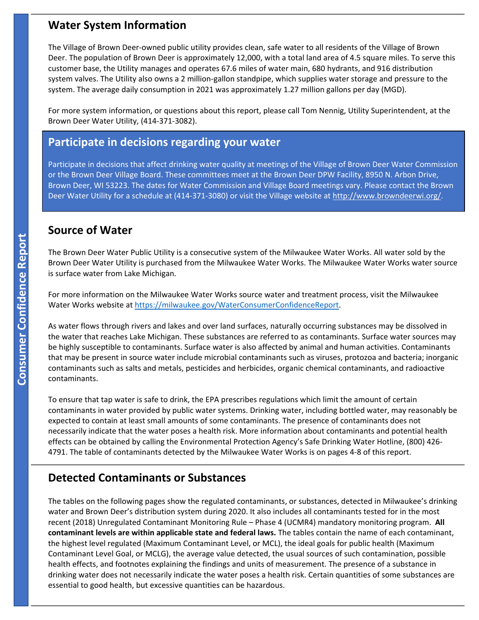#### **Water System Information**

The Village of Brown Deer‐owned public utility provides clean, safe water to all residents of the Village of Brown Deer. The population of Brown Deer is approximately 12,000, with a total land area of 4.5 square miles. To serve this customer base, the Utility manages and operates 67.6 miles of water main, 680 hydrants, and 916 distribution system valves. The Utility also owns a 2 million‐gallon standpipe, which supplies water storage and pressure to the system. The average daily consumption in 2021 was approximately 1.27 million gallons per day (MGD).

 Brown Deer Water Utility, (414‐371‐3082). For more system information, or questions about this report, please call Tom Nennig, Utility Superintendent, at the

#### **Participate in decisions regarding your water**

Participate in decisions that affect drinking water quality at meetings of the Village of Brown Deer Water Commission or the Brown Deer Village Board. These committees meet at the Brown Deer DPW Facility, 8950 N. Arbon Drive, Brown Deer, WI 53223. The dates for Water Commission and Village Board meetings vary. Please contact the Brown Deer Water Utility for a schedule at (414‐371‐3080) or visit the Village website at http://www.browndeerwi.org/.

#### **Source of Water**

The Brown Deer Water Public Utility is a consecutive system of the Milwaukee Water Works. All water sold by the Brown Deer Water Utility is purchased from the Milwaukee Water Works. The Milwaukee Water Works water source is surface water from Lake Michigan.

For more information on the Milwaukee Water Works source water and treatment process, visit the Milwaukee Water Works website at https://milwaukee.gov/WaterConsumerConfidenceReport.

As water flows through rivers and lakes and over land surfaces, naturally occurring substances may be dissolved in the water that reaches Lake Michigan. These substances are referred to as contaminants. Surface water sources may be highly susceptible to contaminants. Surface water is also affected by animal and human activities. Contaminants that may be present in source water include microbial contaminants such as viruses, protozoa and bacteria; inorganic contaminants such as salts and metals, pesticides and herbicides, organic chemical contaminants, and radioactive contaminants.

To ensure that tap water is safe to drink, the EPA prescribes regulations which limit the amount of certain contaminants in water provided by public water systems. Drinking water, including bottled water, may reasonably be expected to contain at least small amounts of some contaminants. The presence of contaminants does not necessarily indicate that the water poses a health risk. More information about contaminants and potential health effects can be obtained by calling the Environmental Protection Agency's Safe Drinking Water Hotline, (800) 426‐ 4791. The table of contaminants detected by the Milwaukee Water Works is on pages 4‐8 of this report.

#### **Detected Contaminants or Substances**

The tables on the following pages show the regulated contaminants, or substances, detected in Milwaukee's drinking water and Brown Deer's distribution system during 2020. It also includes all contaminants tested for in the most recent (2018) Unregulated Contaminant Monitoring Rule – Phase 4 (UCMR4) mandatory monitoring program. **All contaminant levels are within applicable state and federal laws.** The tables contain the name of each contaminant, the highest level regulated (Maximum Contaminant Level, or MCL), the ideal goals for public health (Maximum Contaminant Level Goal, or MCLG), the average value detected, the usual sources of such contamination, possible health effects, and footnotes explaining the findings and units of measurement. The presence of a substance in drinking water does not necessarily indicate the water poses a health risk. Certain quantities of some substances are essential to good health, but excessive quantities can be hazardous.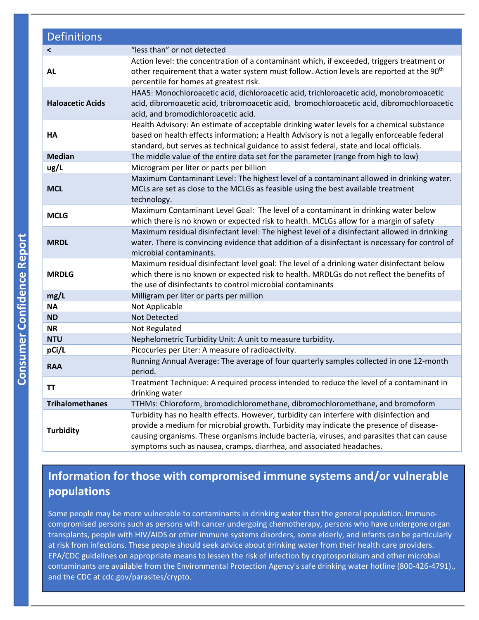| <b>Definitions</b>      |                                                                                                                                                                                                                                                                                                                                                         |
|-------------------------|---------------------------------------------------------------------------------------------------------------------------------------------------------------------------------------------------------------------------------------------------------------------------------------------------------------------------------------------------------|
| $\prec$                 | "less than" or not detected                                                                                                                                                                                                                                                                                                                             |
| <b>AL</b>               | Action level: the concentration of a contaminant which, if exceeded, triggers treatment or<br>other requirement that a water system must follow. Action levels are reported at the 90 <sup>th</sup><br>percentile for homes at greatest risk.                                                                                                           |
| <b>Haloacetic Acids</b> | HAA5: Monochloroacetic acid, dichloroacetic acid, trichloroacetic acid, monobromoacetic<br>acid, dibromoacetic acid, tribromoacetic acid, bromochloroacetic acid, dibromochloroacetic<br>acid, and bromodichloroacetic acid.                                                                                                                            |
| HA                      | Health Advisory: An estimate of acceptable drinking water levels for a chemical substance<br>based on health effects information; a Health Advisory is not a legally enforceable federal<br>standard, but serves as technical guidance to assist federal, state and local officials.                                                                    |
| <b>Median</b>           | The middle value of the entire data set for the parameter (range from high to low)                                                                                                                                                                                                                                                                      |
| ug/L                    | Microgram per liter or parts per billion                                                                                                                                                                                                                                                                                                                |
| <b>MCL</b>              | Maximum Contaminant Level: The highest level of a contaminant allowed in drinking water.<br>MCLs are set as close to the MCLGs as feasible using the best available treatment<br>technology.                                                                                                                                                            |
| <b>MCLG</b>             | Maximum Contaminant Level Goal: The level of a contaminant in drinking water below<br>which there is no known or expected risk to health. MCLGs allow for a margin of safety                                                                                                                                                                            |
| <b>MRDL</b>             | Maximum residual disinfectant level: The highest level of a disinfectant allowed in drinking<br>water. There is convincing evidence that addition of a disinfectant is necessary for control of<br>microbial contaminants.                                                                                                                              |
| <b>MRDLG</b>            | Maximum residual disinfectant level goal: The level of a drinking water disinfectant below<br>which there is no known or expected risk to health. MRDLGs do not reflect the benefits of<br>the use of disinfectants to control microbial contaminants                                                                                                   |
| mg/L                    | Milligram per liter or parts per million                                                                                                                                                                                                                                                                                                                |
| <b>NA</b>               | Not Applicable                                                                                                                                                                                                                                                                                                                                          |
| <b>ND</b>               | Not Detected                                                                                                                                                                                                                                                                                                                                            |
| <b>NR</b>               | Not Regulated                                                                                                                                                                                                                                                                                                                                           |
| <b>NTU</b>              | Nephelometric Turbidity Unit: A unit to measure turbidity.                                                                                                                                                                                                                                                                                              |
| pCi/L                   | Picocuries per Liter: A measure of radioactivity.                                                                                                                                                                                                                                                                                                       |
| <b>RAA</b>              | Running Annual Average: The average of four quarterly samples collected in one 12-month<br>period.                                                                                                                                                                                                                                                      |
| ΤT                      | Treatment Technique: A required process intended to reduce the level of a contaminant in<br>drinking water                                                                                                                                                                                                                                              |
| <b>Trihalomethanes</b>  | TTHMs: Chloroform, bromodichloromethane, dibromochloromethane, and bromoform                                                                                                                                                                                                                                                                            |
| <b>Turbidity</b>        | Turbidity has no health effects. However, turbidity can interfere with disinfection and<br>provide a medium for microbial growth. Turbidity may indicate the presence of disease-<br>causing organisms. These organisms include bacteria, viruses, and parasites that can cause<br>symptoms such as nausea, cramps, diarrhea, and associated headaches. |

## **Information for those with compromised immune systems and/or vulnerable populations**

Some people may be more vulnerable to contaminants in drinking water than the general population. Immuno‐ compromised persons such as persons with cancer undergoing chemotherapy, persons who have undergone organ transplants, people with HIV/AIDS or other immune systems disorders, some elderly, and infants can be particularly at risk from infections. These people should seek advice about drinking water from their health care providers. EPA/CDC guidelines on appropriate means to lessen the risk of infection by cryptosporidium and other microbial contaminants are available from the Environmental Protection Agency's safe drinking water hotline (800‐426‐4791)., and the CDC at cdc.gov/parasites/crypto.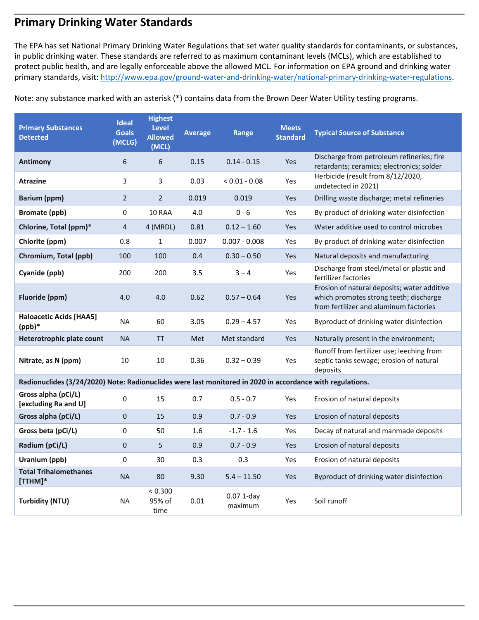### **Primary Drinking Water Standards**

 protect public health, and are legally enforceable above the allowed MCL. For information on EPA ground and drinking water The EPA has set National Primary Drinking Water Regulations that set water quality standards for contaminants, or substances, in public drinking water. These standards are referred to as maximum contaminant levels (MCLs), which are established to primary standards, visit: http://www.epa.gov/ground-water-and-drinking-water/national-primary-drinking-water-regulations.

Note: any substance marked with an asterisk (\*) contains data from the Brown Deer Water Utility testing programs.

| <b>Primary Substances</b><br><b>Detected</b>                                                              | <b>Ideal</b><br><b>Goals</b><br>(MCLG) | <b>Highest</b><br>Level<br><b>Allowed</b><br>(MCL) | <b>Average</b> | Range                   | <b>Meets</b><br><b>Standard</b> | <b>Typical Source of Substance</b>                                                                                              |
|-----------------------------------------------------------------------------------------------------------|----------------------------------------|----------------------------------------------------|----------------|-------------------------|---------------------------------|---------------------------------------------------------------------------------------------------------------------------------|
| <b>Antimony</b>                                                                                           | 6                                      | 6                                                  | 0.15           | $0.14 - 0.15$           | Yes                             | Discharge from petroleum refineries; fire<br>retardants; ceramics; electronics; solder                                          |
| <b>Atrazine</b>                                                                                           | 3                                      | 3                                                  | 0.03           | $< 0.01 - 0.08$         | Yes                             | Herbicide (result from 8/12/2020,<br>undetected in 2021)                                                                        |
| <b>Barium (ppm)</b>                                                                                       | $\overline{2}$                         | $\overline{2}$                                     | 0.019          | 0.019                   | Yes                             | Drilling waste discharge; metal refineries                                                                                      |
| <b>Bromate (ppb)</b>                                                                                      | 0                                      | 10 RAA                                             | 4.0            | $0 - 6$                 | Yes                             | By-product of drinking water disinfection                                                                                       |
| Chlorine, Total (ppm)*                                                                                    | $\overline{\mathbf{4}}$                | 4 (MRDL)                                           | 0.81           | $0.12 - 1.60$           | Yes                             | Water additive used to control microbes                                                                                         |
| Chlorite (ppm)                                                                                            | 0.8                                    | $\mathbf{1}$                                       | 0.007          | $0.007 - 0.008$         | Yes                             | By-product of drinking water disinfection                                                                                       |
| Chromium, Total (ppb)                                                                                     | 100                                    | 100                                                | 0.4            | $0.30 - 0.50$           | Yes                             | Natural deposits and manufacturing                                                                                              |
| Cyanide (ppb)                                                                                             | 200                                    | 200                                                | 3.5            | $3 - 4$                 | Yes                             | Discharge from steel/metal or plastic and<br>fertilizer factories                                                               |
| Fluoride (ppm)                                                                                            | 4.0                                    | 4.0                                                | 0.62           | $0.57 - 0.64$           | Yes                             | Erosion of natural deposits; water additive<br>which promotes strong teeth; discharge<br>from fertilizer and aluminum factories |
| <b>Haloacetic Acids [HAA5]</b><br>$(ppb)*$                                                                | <b>NA</b>                              | 60                                                 | 3.05           | $0.29 - 4.57$           | Yes                             | Byproduct of drinking water disinfection                                                                                        |
| Heterotrophic plate count                                                                                 | <b>NA</b>                              | <b>TT</b>                                          | Met            | Met standard            | Yes                             | Naturally present in the environment;                                                                                           |
| Nitrate, as N (ppm)                                                                                       | 10                                     | 10                                                 | 0.36           | $0.32 - 0.39$           | Yes                             | Runoff from fertilizer use; leeching from<br>septic tanks sewage; erosion of natural<br>deposits                                |
| Radionuclides (3/24/2020) Note: Radionuclides were last monitored in 2020 in accordance with regulations. |                                        |                                                    |                |                         |                                 |                                                                                                                                 |
| Gross alpha (pCi/L)<br>[excluding Ra and U]                                                               | 0                                      | 15                                                 | 0.7            | $0.5 - 0.7$             | Yes                             | Erosion of natural deposits                                                                                                     |
| Gross alpha (pCi/L)                                                                                       | $\mathbf 0$                            | 15                                                 | 0.9            | $0.7 - 0.9$             | Yes                             | Erosion of natural deposits                                                                                                     |
| Gross beta (pCi/L)                                                                                        | 0                                      | 50                                                 | 1.6            | $-1.7 - 1.6$            | Yes                             | Decay of natural and manmade deposits                                                                                           |
| Radium (pCi/L)                                                                                            | $\mathsf{O}\xspace$                    | 5                                                  | 0.9            | $0.7 - 0.9$             | Yes                             | Erosion of natural deposits                                                                                                     |
| Uranium (ppb)                                                                                             | $\mathbf 0$                            | 30                                                 | 0.3            | 0.3                     | Yes                             | Erosion of natural deposits                                                                                                     |
| <b>Total Trihalomethanes</b><br>$[THM]^*$                                                                 | <b>NA</b>                              | 80                                                 | 9.30           | $5.4 - 11.50$           | Yes                             | Byproduct of drinking water disinfection                                                                                        |
| <b>Turbidity (NTU)</b>                                                                                    | <b>NA</b>                              | < 0.300<br>95% of<br>time                          | 0.01           | $0.07$ 1-day<br>maximum | Yes                             | Soil runoff                                                                                                                     |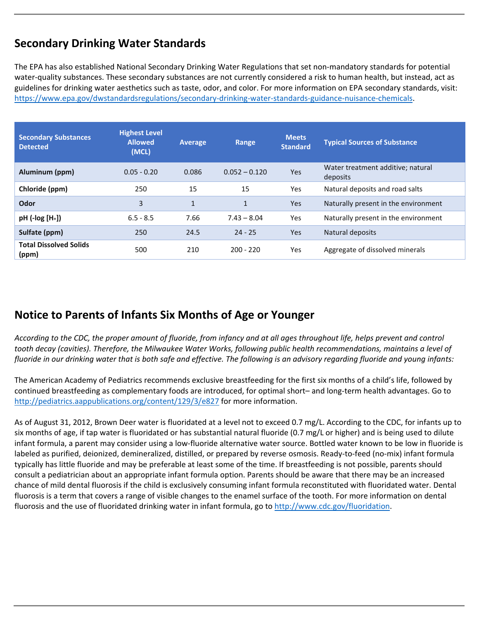## **Secondary Drinking Water Standards**

 guidelines for drinking water aesthetics such as taste, odor, and color. For more information on EPA secondary standards, visit: The EPA has also established National Secondary Drinking Water Regulations that set non‐mandatory standards for potential water-quality substances. These secondary substances are not currently considered a risk to human health, but instead, act as https://www.epa.gov/dwstandardsregulations/secondary‐drinking‐water‐standards‐guidance‐nuisance‐chemicals.

| <b>Secondary Substances</b><br><b>Detected</b> | <b>Highest Level</b><br><b>Allowed</b><br>(MCL) | <b>Average</b> | Range           | <b>Meets</b><br><b>Standard</b> | <b>Typical Sources of Substance</b>           |
|------------------------------------------------|-------------------------------------------------|----------------|-----------------|---------------------------------|-----------------------------------------------|
| Aluminum (ppm)                                 | $0.05 - 0.20$                                   | 0.086          | $0.052 - 0.120$ | Yes                             | Water treatment additive; natural<br>deposits |
| Chloride (ppm)                                 | 250                                             | 15             | 15              | <b>Yes</b>                      | Natural deposits and road salts               |
| <b>Odor</b>                                    | 3                                               | 1              | $\mathbf{1}$    | Yes                             | Naturally present in the environment          |
| $pH$ (-log $[H+]$ )                            | $6.5 - 8.5$                                     | 7.66           | $7.43 - 8.04$   | Yes                             | Naturally present in the environment          |
| Sulfate (ppm)                                  | 250                                             | 24.5           | $24 - 25$       | Yes                             | Natural deposits                              |
| <b>Total Dissolved Solids</b><br>(ppm)         | 500                                             | 210            | $200 - 220$     | Yes                             | Aggregate of dissolved minerals               |

## **Notice to Parents of Infants Six Months of Age or Younger**

**Sul**<br>Tot<br>(pr<br>(produce Report)<br> $\frac{1}{2}$ <br>The *According to the CDC, the proper amount of fluoride, from infancy and at all ages throughout life, helps prevent and control tooth decay (cavities). Therefore, the Milwaukee Water Works, following public health recommendations, maintains a level of fluoride in our drinking water that is both safe and effective. The following is an advisory regarding fluoride and young infants:* 

The American Academy of Pediatrics recommends exclusive breastfeeding for the first six months of a child's life, followed by continued breastfeeding as complementary foods are introduced, for optimal short– and long‐term health advantages. Go to http://pediatrics.aappublications.org/content/129/3/e827 for more information.

As of August 31, 2012, Brown Deer water is fluoridated at a level not to exceed 0.7 mg/L. According to the CDC, for infants up to six months of age, if tap water is fluoridated or has substantial natural fluoride (0.7 mg/L or higher) and is being used to dilute infant formula, a parent may consider using a low‐fluoride alternative water source. Bottled water known to be low in fluoride is labeled as purified, deionized, demineralized, distilled, or prepared by reverse osmosis. Ready‐to‐feed (no‐mix) infant formula typically has little fluoride and may be preferable at least some of the time. If breastfeeding is not possible, parents should consult a pediatrician about an appropriate infant formula option. Parents should be aware that there may be an increased chance of mild dental fluorosis if the child is exclusively consuming infant formula reconstituted with fluoridated water. Dental fluorosis is a term that covers a range of visible changes to the enamel surface of the tooth. For more information on dental fluorosis and the use of fluoridated drinking water in infant formula, go to http://www.cdc.gov/fluoridation.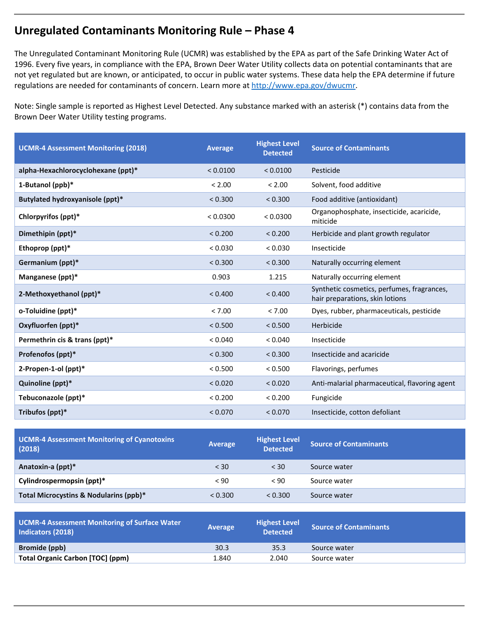### **Unregulated Contaminants Monitoring Rule – Phase 4**

 not yet regulated but are known, or anticipated, to occur in public water systems. These data help the EPA determine if future The Unregulated Contaminant Monitoring Rule (UCMR) was established by the EPA as part of the Safe Drinking Water Act of 1996. Every five years, in compliance with the EPA, Brown Deer Water Utility collects data on potential contaminants that are regulations are needed for contaminants of concern. Learn more at http://www.epa.gov/dwucmr.

Note: Single sample is reported as Highest Level Detected. Any substance marked with an asterisk (\*) contains data from the Brown Deer Water Utility testing programs.

| <b>UCMR-4 Assessment Monitoring (2018)</b> | <b>Average</b> | <b>Highest Level</b><br><b>Detected</b> | <b>Source of Contaminants</b>                                                 |  |
|--------------------------------------------|----------------|-----------------------------------------|-------------------------------------------------------------------------------|--|
| alpha-Hexachlorocyclohexane (ppt)*         | < 0.0100       | < 0.0100                                | Pesticide                                                                     |  |
| 1-Butanol (ppb)*                           | < 2.00         | < 2.00                                  | Solvent, food additive                                                        |  |
| Butylated hydroxyanisole (ppt)*            | < 0.300        | < 0.300                                 | Food additive (antioxidant)                                                   |  |
| Chlorpyrifos (ppt)*                        | < 0.0300       | < 0.0300                                | Organophosphate, insecticide, acaricide,<br>miticide                          |  |
| Dimethipin (ppt)*                          | < 0.200        | < 0.200                                 | Herbicide and plant growth regulator                                          |  |
| Ethoprop (ppt)*                            | < 0.030        | < 0.030                                 | Insecticide                                                                   |  |
| Germanium (ppt)*                           | < 0.300        | < 0.300                                 | Naturally occurring element                                                   |  |
| Manganese (ppt)*                           | 0.903          | 1.215                                   | Naturally occurring element                                                   |  |
| 2-Methoxyethanol (ppt)*                    | < 0.400        | < 0.400                                 | Synthetic cosmetics, perfumes, fragrances,<br>hair preparations, skin lotions |  |
| o-Toluidine (ppt)*                         | < 7.00         | < 7.00                                  | Dyes, rubber, pharmaceuticals, pesticide                                      |  |
| Oxyfluorfen (ppt)*                         | < 0.500        | < 0.500                                 | Herbicide                                                                     |  |
| Permethrin cis & trans (ppt)*              | < 0.040        | < 0.040                                 | Insecticide                                                                   |  |
| Profenofos (ppt)*                          | < 0.300        | < 0.300                                 | Insecticide and acaricide                                                     |  |
| 2-Propen-1-ol (ppt)*                       | < 0.500        | < 0.500                                 | Flavorings, perfumes                                                          |  |
| Quinoline (ppt)*                           | < 0.020        | < 0.020                                 | Anti-malarial pharmaceutical, flavoring agent                                 |  |
| Tebuconazole (ppt)*                        | < 0.200        | < 0.200                                 | Fungicide                                                                     |  |
| Tribufos (ppt)*                            | < 0.070        | < 0.070                                 | Insecticide, cotton defoliant                                                 |  |

| <b>UCMR-4 Assessment Monitoring of Cyanotoxins</b><br>(2018) | Average | <b>Highest Level</b><br><b>Detected</b> | <b>Source of Contaminants</b> |  |
|--------------------------------------------------------------|---------|-----------------------------------------|-------------------------------|--|
| Anatoxin-a (ppt)*                                            | $<$ 30  | $<$ 30                                  | Source water                  |  |
| Cylindrospermopsin (ppt)*                                    | < 90    | < 90                                    | Source water                  |  |
| Total Microcystins & Nodularins (ppb)*                       | < 0.300 | < 0.300                                 | Source water                  |  |

| Average | <b>Highest Level</b><br><b>Detected</b> | <b>Source of Contaminants</b> |
|---------|-----------------------------------------|-------------------------------|
| 30.3    | 35.3                                    | Source water                  |
| 1.840   | 2.040                                   | Source water                  |
|         |                                         |                               |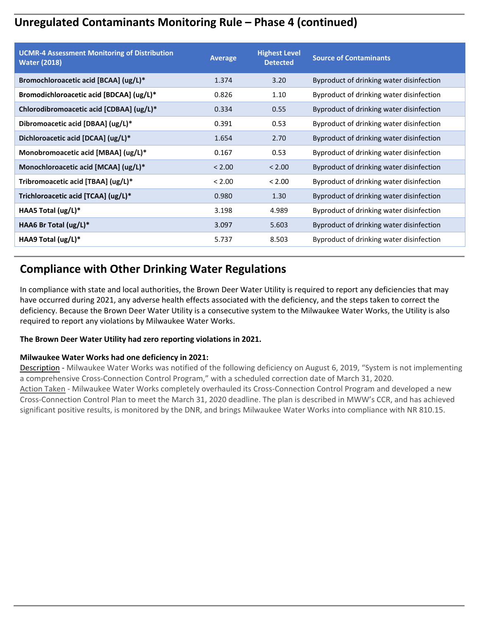## **Unregulated Contaminants Monitoring Rule – Phase 4 (continued)**

| <b>UCMR-4 Assessment Monitoring of Distribution</b><br><b>Water (2018)</b> | <b>Average</b> | <b>Highest Level</b><br><b>Detected</b> | <b>Source of Contaminants</b>            |
|----------------------------------------------------------------------------|----------------|-----------------------------------------|------------------------------------------|
| Bromochloroacetic acid [BCAA] (ug/L)*                                      | 1.374          | 3.20                                    | Byproduct of drinking water disinfection |
| Bromodichloroacetic acid [BDCAA] (ug/L)*                                   | 0.826          | 1.10                                    | Byproduct of drinking water disinfection |
| Chlorodibromoacetic acid [CDBAA] (ug/L)*                                   | 0.334          | 0.55                                    | Byproduct of drinking water disinfection |
| Dibromoacetic acid [DBAA] (ug/L)*                                          | 0.391          | 0.53                                    | Byproduct of drinking water disinfection |
| Dichloroacetic acid [DCAA] (ug/L)*                                         | 1.654          | 2.70                                    | Byproduct of drinking water disinfection |
| Monobromoacetic acid [MBAA] (ug/L)*                                        | 0.167          | 0.53                                    | Byproduct of drinking water disinfection |
| Monochloroacetic acid [MCAA] (ug/L)*                                       | < 2.00         | < 2.00                                  | Byproduct of drinking water disinfection |
| Tribromoacetic acid [TBAA] (ug/L)*                                         | < 2.00         | < 2.00                                  | Byproduct of drinking water disinfection |
| Trichloroacetic acid [TCAA] (ug/L)*                                        | 0.980          | 1.30                                    | Byproduct of drinking water disinfection |
| HAA5 Total (ug/L)*                                                         | 3.198          | 4.989                                   | Byproduct of drinking water disinfection |
| HAA6 Br Total (ug/L)*                                                      | 3.097          | 5.603                                   | Byproduct of drinking water disinfection |
| HAA9 Total $\frac{u}{x}$                                                   | 5.737          | 8.503                                   | Byproduct of drinking water disinfection |

### **Compliance with Other Drinking Water Regulations**

**Consumer Confidence Report**<br>The Munder Report **Report** In compliance with state and local authorities, the Brown Deer Water Utility is required to report any deficiencies that may have occurred during 2021, any adverse health effects associated with the deficiency, and the steps taken to correct the deficiency. Because the Brown Deer Water Utility is a consecutive system to the Milwaukee Water Works, the Utility is also required to report any violations by Milwaukee Water Works.

#### **The Brown Deer Water Utility had zero reporting violations in 2021.**

#### **Milwaukee Water Works had one deficiency in 2021:**

Description - Milwaukee Water Works was notified of the following deficiency on August 6, 2019, "System is not implementing a comprehensive Cross-Connection Control Program," with a scheduled correction date of March 31, 2020. Action Taken ‐ Milwaukee Water Works completely overhauled its Cross‐Connection Control Program and developed a new Cross‐Connection Control Plan to meet the March 31, 2020 deadline. The plan is described in MWW's CCR, and has achieved significant positive results, is monitored by the DNR, and brings Milwaukee Water Works into compliance with NR 810.15.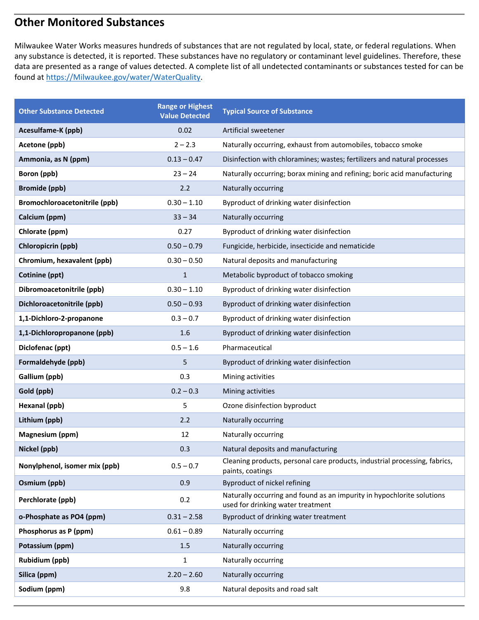### **Other Monitored Substances**

Milwaukee Water Works measures hundreds of substances that are not regulated by local, state, or federal regulations. When any substance is detected, it is reported. These substances have no regulatory or contaminant level guidelines. Therefore, these data are presented as a range of values detected. A complete list of all undetected contaminants or substances tested for can be found at https://Milwaukee.gov/water/WaterQuality.

| <b>Other Substance Detected</b> | <b>Range or Highest</b><br><b>Value Detected</b> | <b>Typical Source of Substance</b>                                                                          |
|---------------------------------|--------------------------------------------------|-------------------------------------------------------------------------------------------------------------|
| Acesulfame-K (ppb)              | 0.02                                             | Artificial sweetener                                                                                        |
| Acetone (ppb)                   | $2 - 2.3$                                        | Naturally occurring, exhaust from automobiles, tobacco smoke                                                |
| Ammonia, as N (ppm)             | $0.13 - 0.47$                                    | Disinfection with chloramines; wastes; fertilizers and natural processes                                    |
| Boron (ppb)                     | $23 - 24$                                        | Naturally occurring; borax mining and refining; boric acid manufacturing                                    |
| <b>Bromide (ppb)</b>            | 2.2                                              | Naturally occurring                                                                                         |
| Bromochloroacetonitrile (ppb)   | $0.30 - 1.10$                                    | Byproduct of drinking water disinfection                                                                    |
| Calcium (ppm)                   | $33 - 34$                                        | Naturally occurring                                                                                         |
| Chlorate (ppm)                  | 0.27                                             | Byproduct of drinking water disinfection                                                                    |
| Chloropicrin (ppb)              | $0.50 - 0.79$                                    | Fungicide, herbicide, insecticide and nematicide                                                            |
| Chromium, hexavalent (ppb)      | $0.30 - 0.50$                                    | Natural deposits and manufacturing                                                                          |
| Cotinine (ppt)                  | $\mathbf{1}$                                     | Metabolic byproduct of tobacco smoking                                                                      |
| Dibromoacetonitrile (ppb)       | $0.30 - 1.10$                                    | Byproduct of drinking water disinfection                                                                    |
| Dichloroacetonitrile (ppb)      | $0.50 - 0.93$                                    | Byproduct of drinking water disinfection                                                                    |
| 1,1-Dichloro-2-propanone        | $0.3 - 0.7$                                      | Byproduct of drinking water disinfection                                                                    |
| 1,1-Dichloropropanone (ppb)     | 1.6                                              | Byproduct of drinking water disinfection                                                                    |
| Diclofenac (ppt)                | $0.5 - 1.6$                                      | Pharmaceutical                                                                                              |
| Formaldehyde (ppb)              | 5                                                | Byproduct of drinking water disinfection                                                                    |
| Gallium (ppb)                   | 0.3                                              | Mining activities                                                                                           |
| Gold (ppb)                      | $0.2 - 0.3$                                      | Mining activities                                                                                           |
| Hexanal (ppb)                   | 5                                                | Ozone disinfection byproduct                                                                                |
| Lithium (ppb)                   | 2.2                                              | Naturally occurring                                                                                         |
| Magnesium (ppm)                 | 12                                               | Naturally occurring                                                                                         |
| Nickel (ppb)                    | 0.3                                              | Natural deposits and manufacturing                                                                          |
| Nonylphenol, isomer mix (ppb)   | $0.5 - 0.7$                                      | Cleaning products, personal care products, industrial processing, fabrics,<br>paints, coatings              |
| Osmium (ppb)                    | 0.9                                              | Byproduct of nickel refining                                                                                |
| Perchlorate (ppb)               | 0.2                                              | Naturally occurring and found as an impurity in hypochlorite solutions<br>used for drinking water treatment |
| o-Phosphate as PO4 (ppm)        | $0.31 - 2.58$                                    | Byproduct of drinking water treatment                                                                       |
| Phosphorus as P (ppm)           | $0.61 - 0.89$                                    | Naturally occurring                                                                                         |
| Potassium (ppm)                 | 1.5                                              | Naturally occurring                                                                                         |
| <b>Rubidium (ppb)</b>           | $\mathbf{1}$                                     | Naturally occurring                                                                                         |
| Silica (ppm)                    | $2.20 - 2.60$                                    | Naturally occurring                                                                                         |
| Sodium (ppm)                    | 9.8                                              | Natural deposits and road salt                                                                              |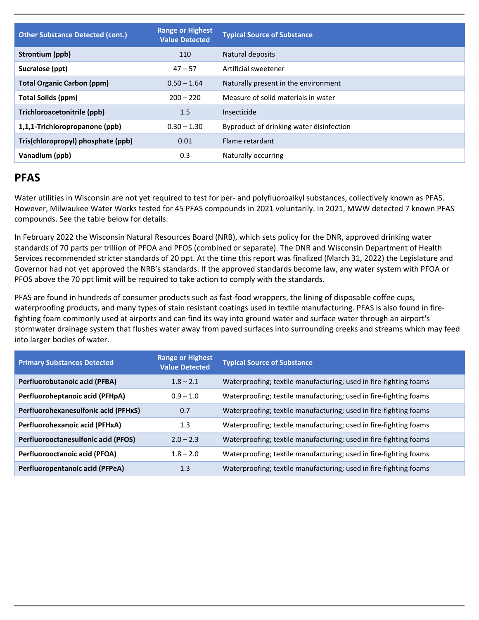| <b>Other Substance Detected (cont.)</b> | <b>Range or Highest</b><br><b>Value Detected</b> | <b>Typical Source of Substance</b>       |
|-----------------------------------------|--------------------------------------------------|------------------------------------------|
| Strontium (ppb)                         | 110                                              | Natural deposits                         |
| Sucralose (ppt)                         | $47 - 57$                                        | Artificial sweetener                     |
| <b>Total Organic Carbon (ppm)</b>       | $0.50 - 1.64$                                    | Naturally present in the environment     |
| Total Solids (ppm)                      | $200 - 220$                                      | Measure of solid materials in water      |
| Trichloroacetonitrile (ppb)             | 1.5                                              | Insecticide                              |
| 1,1,1-Trichloropropanone (ppb)          | $0.30 - 1.30$                                    | Byproduct of drinking water disinfection |
| Tris(chloropropyl) phosphate (ppb)      | 0.01                                             | Flame retardant                          |
| Vanadium (ppb)                          | 0.3                                              | Naturally occurring                      |

### **PFAS**

Water utilities in Wisconsin are not yet required to test for per- and polyfluoroalkyl substances, collectively known as PFAS. However, Milwaukee Water Works tested for 45 PFAS compounds in 2021 voluntarily. In 2021, MWW detected 7 known PFAS compounds. See the table below for details.

In February 2022 the Wisconsin Natural Resources Board (NRB), which sets policy for the DNR, approved drinking water standards of 70 parts per trillion of PFOA and PFOS (combined or separate). The DNR and Wisconsin Department of Health Services recommended stricter standards of 20 ppt. At the time this report was finalized (March 31, 2022) the Legislature and Governor had not yet approved the NRB's standards. If the approved standards become law, any water system with PFOA or PFOS above the 70 ppt limit will be required to take action to comply with the standards.

**Consumer Confidence Proport**<br> **Confidence Proport**<br> **Confidence Proport**<br> **Proport** PFAS are found in hundreds of consumer products such as fast-food wrappers, the lining of disposable coffee cups, waterproofing products, and many types of stain resistant coatings used in textile manufacturing. PFAS is also found in firefighting foam commonly used at airports and can find its way into ground water and surface water through an airport's stormwater drainage system that flushes water away from paved surfaces into surrounding creeks and streams which may feed into larger bodies of water.

| <b>Primary Substances Detected</b>         | <b>Range or Highest</b><br><b>Value Detected</b> | <b>Typical Source of Substance</b>                                |
|--------------------------------------------|--------------------------------------------------|-------------------------------------------------------------------|
| Perfluorobutanoic acid (PFBA)              | $1.8 - 2.1$                                      | Waterproofing; textile manufacturing; used in fire-fighting foams |
| Perfluoroheptanoic acid (PFHpA)            | $0.9 - 1.0$                                      | Waterproofing; textile manufacturing; used in fire-fighting foams |
| Perfluorohexanesulfonic acid (PFHxS)       | 0.7                                              | Waterproofing; textile manufacturing; used in fire-fighting foams |
| Perfluorohexanoic acid (PFHxA)             | 1.3                                              | Waterproofing; textile manufacturing; used in fire-fighting foams |
| <b>Perfluorooctanesulfonic acid (PFOS)</b> | $2.0 - 2.3$                                      | Waterproofing; textile manufacturing; used in fire-fighting foams |
| Perfluorooctanoic acid (PFOA)              | $1.8 - 2.0$                                      | Waterproofing; textile manufacturing; used in fire-fighting foams |
| Perfluoropentanoic acid (PFPeA)            | 1.3                                              | Waterproofing; textile manufacturing; used in fire-fighting foams |